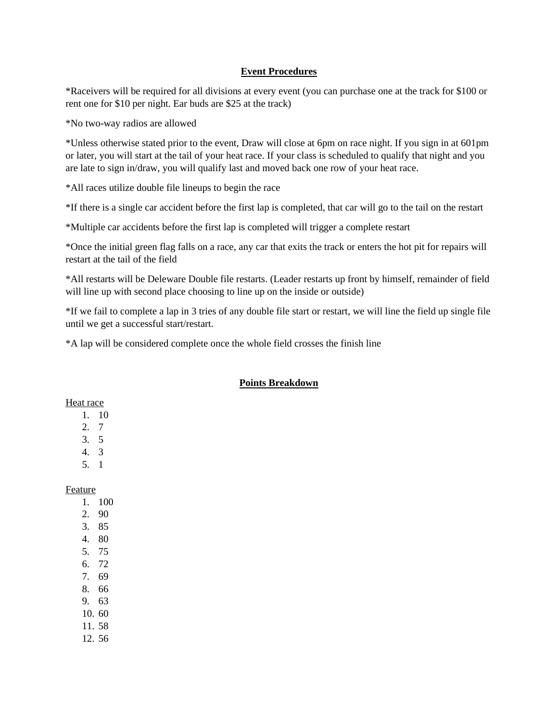## **Event Procedures**

\*Raceivers will be required for all divisions at every event (you can purchase one at the track for \$100 or rent one for \$10 per night. Ear buds are \$25 at the track)

\*No two-way radios are allowed

\*Unless otherwise stated prior to the event, Draw will close at 6pm on race night. If you sign in at 601pm or later, you will start at the tail of your heat race. If your class is scheduled to qualify that night and you are late to sign in/draw, you will qualify last and moved back one row of your heat race.

\*All races utilize double file lineups to begin the race

\*If there is a single car accident before the first lap is completed, that car will go to the tail on the restart

\*Multiple car accidents before the first lap is completed will trigger a complete restart

\*Once the initial green flag falls on a race, any car that exits the track or enters the hot pit for repairs will restart at the tail of the field

\*All restarts will be Deleware Double file restarts. (Leader restarts up front by himself, remainder of field will line up with second place choosing to line up on the inside or outside)

\*If we fail to complete a lap in 3 tries of any double file start or restart, we will line the field up single file until we get a successful start/restart.

\*A lap will be considered complete once the whole field crosses the finish line

## **Points Breakdown**

## Heat race

- 1. 10
- 2. 7
- 3. 5
- 4. 3
- 5. 1

## Feature

- 1. 100
- 2. 90
- 3. 85
- 4. 80 5. 75
- 6. 72
- 7. 69
- 8. 66
- 9. 63
- 10. 60
- 11. 58
- 12. 56